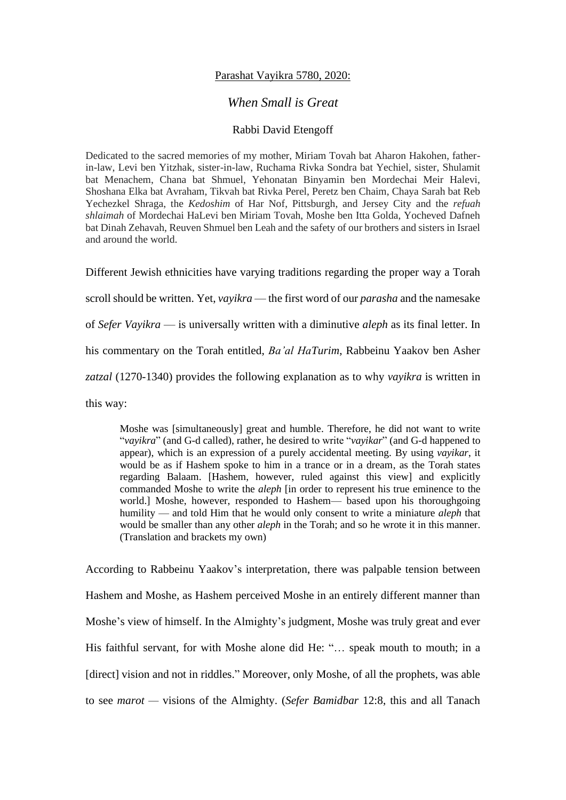## Parashat Vayikra 5780, 2020:

## *When Small is Great*

## Rabbi David Etengoff

Dedicated to the sacred memories of my mother, Miriam Tovah bat Aharon Hakohen, fatherin-law, Levi ben Yitzhak, sister-in-law, Ruchama Rivka Sondra bat Yechiel, sister, Shulamit bat Menachem, Chana bat Shmuel, Yehonatan Binyamin ben Mordechai Meir Halevi, Shoshana Elka bat Avraham, Tikvah bat Rivka Perel, Peretz ben Chaim, Chaya Sarah bat Reb Yechezkel Shraga, the *Kedoshim* of Har Nof, Pittsburgh, and Jersey City and the *refuah shlaimah* of Mordechai HaLevi ben Miriam Tovah, Moshe ben Itta Golda, Yocheved Dafneh bat Dinah Zehavah, Reuven Shmuel ben Leah and the safety of our brothers and sisters in Israel and around the world.

Different Jewish ethnicities have varying traditions regarding the proper way a Torah scroll should be written. Yet, *vayikra* — the first word of our *parasha* and the namesake of *Sefer Vayikra* — is universally written with a diminutive *aleph* as its final letter. In his commentary on the Torah entitled, *Ba'al HaTurim*, Rabbeinu Yaakov ben Asher *zatzal* (1270-1340) provides the following explanation as to why *vayikra* is written in this way:

Moshe was [simultaneously] great and humble. Therefore, he did not want to write "*vayikra*" (and G-d called), rather, he desired to write "*vayikar*" (and G-d happened to appear), which is an expression of a purely accidental meeting. By using *vayikar*, it would be as if Hashem spoke to him in a trance or in a dream, as the Torah states regarding Balaam. [Hashem, however, ruled against this view] and explicitly commanded Moshe to write the *aleph* [in order to represent his true eminence to the world.] Moshe, however, responded to Hashem— based upon his thoroughgoing humility — and told Him that he would only consent to write a miniature *aleph* that would be smaller than any other *aleph* in the Torah; and so he wrote it in this manner. (Translation and brackets my own)

According to Rabbeinu Yaakov's interpretation, there was palpable tension between Hashem and Moshe, as Hashem perceived Moshe in an entirely different manner than Moshe's view of himself. In the Almighty's judgment, Moshe was truly great and ever His faithful servant, for with Moshe alone did He: "... speak mouth to mouth; in a [direct] vision and not in riddles." Moreover, only Moshe, of all the prophets, was able to see *marot —* visions of the Almighty. (*Sefer Bamidbar* 12:8, this and all Tanach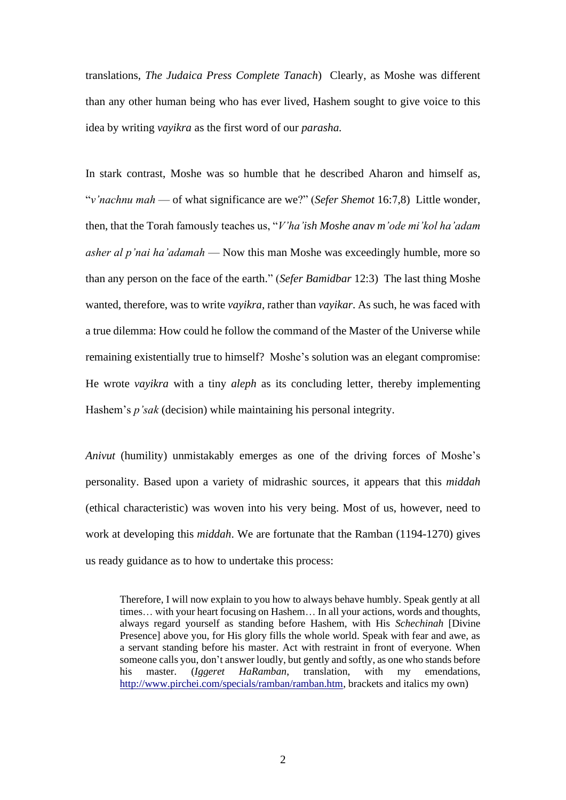translations, *The Judaica Press Complete Tanach*) Clearly, as Moshe was different than any other human being who has ever lived, Hashem sought to give voice to this idea by writing *vayikra* as the first word of our *parasha.*

In stark contrast, Moshe was so humble that he described Aharon and himself as, "*v'nachnu mah* — of what significance are we?" (*Sefer Shemot* 16:7,8) Little wonder, then, that the Torah famously teaches us, "*V'ha'ish Moshe anav m'ode mi'kol ha'adam asher al p'nai ha'adamah* — Now this man Moshe was exceedingly humble, more so than any person on the face of the earth." (*Sefer Bamidbar* 12:3) The last thing Moshe wanted, therefore, was to write *vayikra*, rather than *vayikar*. As such, he was faced with a true dilemma: How could he follow the command of the Master of the Universe while remaining existentially true to himself? Moshe's solution was an elegant compromise: He wrote *vayikra* with a tiny *aleph* as its concluding letter, thereby implementing Hashem's *p'sak* (decision) while maintaining his personal integrity.

*Anivut* (humility) unmistakably emerges as one of the driving forces of Moshe's personality. Based upon a variety of midrashic sources, it appears that this *middah*  (ethical characteristic) was woven into his very being. Most of us, however, need to work at developing this *middah*. We are fortunate that the Ramban (1194-1270) gives us ready guidance as to how to undertake this process:

Therefore, I will now explain to you how to always behave humbly. Speak gently at all times… with your heart focusing on Hashem… In all your actions, words and thoughts, always regard yourself as standing before Hashem, with His *Schechinah* [Divine Presence] above you, for His glory fills the whole world. Speak with fear and awe, as a servant standing before his master. Act with restraint in front of everyone. When someone calls you, don't answer loudly, but gently and softly, as one who stands before his master. (*Iggeret HaRamban*, translation, with my emendations, [http://www.pirchei.com/specials/ramban/ramban.htm,](http://www.pirchei.com/specials/ramban/ramban.htm) brackets and italics my own)